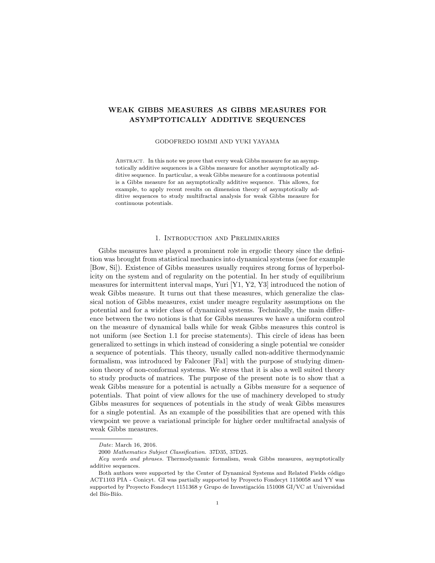# WEAK GIBBS MEASURES AS GIBBS MEASURES FOR ASYMPTOTICALLY ADDITIVE SEQUENCES

#### GODOFREDO IOMMI AND YUKI YAYAMA

ABSTRACT. In this note we prove that every weak Gibbs measure for an asymptotically additive sequences is a Gibbs measure for another asymptotically additive sequence. In particular, a weak Gibbs measure for a continuous potential is a Gibbs measure for an asymptotically additive sequence. This allows, for example, to apply recent results on dimension theory of asymptotically additive sequences to study multifractal analysis for weak Gibbs measure for continuous potentials.

## 1. Introduction and Preliminaries

Gibbs measures have played a prominent role in ergodic theory since the definition was brought from statistical mechanics into dynamical systems (see for example [Bow, Si]). Existence of Gibbs measures usually requires strong forms of hyperbolicity on the system and of regularity on the potential. In her study of equilibrium measures for intermittent interval maps, Yuri [Y1, Y2, Y3] introduced the notion of weak Gibbs measure. It turns out that these measures, which generalize the classical notion of Gibbs measures, exist under meagre regularity assumptions on the potential and for a wider class of dynamical systems. Technically, the main difference between the two notions is that for Gibbs measures we have a uniform control on the measure of dynamical balls while for weak Gibbs measures this control is not uniform (see Section 1.1 for precise statements). This circle of ideas has been generalized to settings in which instead of considering a single potential we consider a sequence of potentials. This theory, usually called non-additive thermodynamic formalism, was introduced by Falconer [Fa1] with the purpose of studying dimension theory of non-conformal systems. We stress that it is also a well suited theory to study products of matrices. The purpose of the present note is to show that a weak Gibbs measure for a potential is actually a Gibbs measure for a sequence of potentials. That point of view allows for the use of machinery developed to study Gibbs measures for sequences of potentials in the study of weak Gibbs measures for a single potential. As an example of the possibilities that are opened with this viewpoint we prove a variational principle for higher order multifractal analysis of weak Gibbs measures.

Date: March 16, 2016.

<sup>2000</sup> Mathematics Subject Classification. 37D35, 37D25.

Key words and phrases. Thermodynamic formalism, weak Gibbs measures, asymptotically additive sequences.

Both authors were supported by the Center of Dynamical Systems and Related Fields código ACT1103 PIA - Conicyt. GI was partially supported by Proyecto Fondecyt 1150058 and YY was supported by Proyecto Fondecyt 1151368 y Grupo de Investigación 151008 GI/VC at Universidad del Bío-Biío.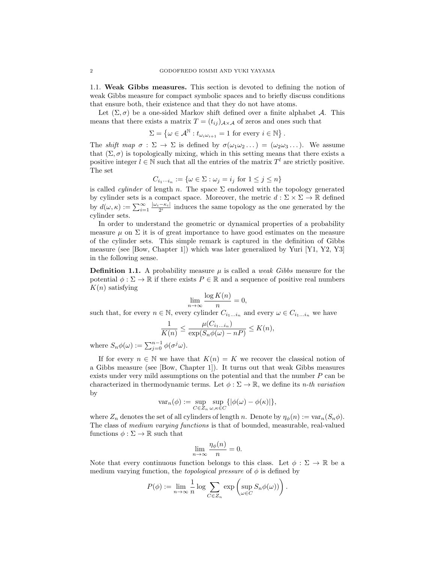1.1. Weak Gibbs measures. This section is devoted to defining the notion of weak Gibbs measure for compact symbolic spaces and to briefly discuss conditions that ensure both, their existence and that they do not have atoms.

Let  $(\Sigma, \sigma)$  be a one-sided Markov shift defined over a finite alphabet A. This means that there exists a matrix  $T = (t_{ij})_{A \times A}$  of zeros and ones such that

$$
\Sigma = \left\{ \omega \in \mathcal{A}^{\mathbb{N}} : t_{\omega_i \omega_{i+1}} = 1 \text{ for every } i \in \mathbb{N} \right\}.
$$

The *shift map*  $\sigma : \Sigma \to \Sigma$  is defined by  $\sigma(\omega_1 \omega_2 ...) = (\omega_2 \omega_3 ...)$ . We assume that  $(\Sigma, \sigma)$  is topologically mixing, which in this setting means that there exists a positive integer  $l \in \mathbb{N}$  such that all the entries of the matrix  $T^l$  are strictly positive. The set

$$
C_{i_1\cdots i_n} := \{ \omega \in \Sigma : \omega_j = i_j \text{ for } 1 \le j \le n \}
$$

is called *cylinder* of length n. The space  $\Sigma$  endowed with the topology generated by cylinder sets is a compact space. Moreover, the metric  $d : \Sigma \times \Sigma \to \mathbb{R}$  defined by  $d(\omega,\kappa) := \sum_{i=1}^{\infty} \frac{|\omega_i-\kappa_i|}{2^i}$  induces the same topology as the one generated by the cylinder sets.

In order to understand the geometric or dynamical properties of a probability measure  $\mu$  on  $\Sigma$  it is of great importance to have good estimates on the measure of the cylinder sets. This simple remark is captured in the definition of Gibbs measure (see [Bow, Chapter 1]) which was later generalized by Yuri [Y1, Y2, Y3] in the following sense.

**Definition 1.1.** A probability measure  $\mu$  is called a *weak Gibbs* measure for the potential  $\phi : \Sigma \to \mathbb{R}$  if there exists  $P \in \mathbb{R}$  and a sequence of positive real numbers  $K(n)$  satisfying

$$
\lim_{n \to \infty} \frac{\log K(n)}{n} = 0,
$$

such that, for every  $n \in \mathbb{N}$ , every cylinder  $C_{i_1...i_n}$  and every  $\omega \in C_{i_1...i_n}$  we have

$$
\frac{1}{K(n)} \le \frac{\mu(C_{i_1...i_n})}{\exp(S_n\phi(\omega) - nP)} \le K(n),
$$

where  $S_n \phi(\omega) := \sum_{j=0}^{n-1} \phi(\sigma^j \omega)$ .

If for every  $n \in \mathbb{N}$  we have that  $K(n) = K$  we recover the classical notion of a Gibbs measure (see [Bow, Chapter 1]). It turns out that weak Gibbs measures exists under very mild assumptions on the potential and that the number P can be characterized in thermodynamic terms. Let  $\phi : \Sigma \to \mathbb{R}$ , we define its *n-th variation* by

$$
\mathrm{var}_n(\phi) := \sup_{C \in Z_n} \sup_{\omega, \kappa \in C} \{ |\phi(\omega) - \phi(\kappa)| \},\
$$

where  $Z_n$  denotes the set of all cylinders of length n. Denote by  $\eta_{\phi}(n) := \text{var}_n(S_n \phi)$ . The class of *medium varying functions* is that of bounded, measurable, real-valued functions  $\phi : \Sigma \to \mathbb{R}$  such that

$$
\lim_{n \to \infty} \frac{\eta_{\phi}(n)}{n} = 0.
$$

Note that every continuous function belongs to this class. Let  $\phi : \Sigma \to \mathbb{R}$  be a medium varying function, the *topological pressure* of  $\phi$  is defined by

$$
P(\phi) := \lim_{n \to \infty} \frac{1}{n} \log \sum_{C \in Z_n} \exp \left( \sup_{\omega \in C} S_n \phi(\omega) \right).
$$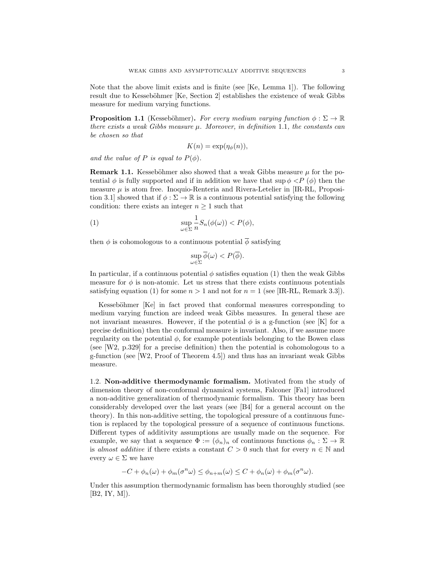Note that the above limit exists and is finite (see [Ke, Lemma 1]). The following result due to Kesseböhmer [Ke, Section 2] establishes the existence of weak Gibbs measure for medium varying functions.

**Proposition 1.1** (Kesseböhmer). *For every medium varying function*  $\phi : \Sigma \to \mathbb{R}$ *there exists a weak Gibbs measure* µ*. Moreover, in definition* 1.1*, the constants can be chosen so that*

$$
K(n) = \exp(\eta_{\phi}(n)),
$$

*and the value of*  $P$  *is equal to*  $P(\phi)$ *.* 

**Remark 1.1.** Kesseböhmer also showed that a weak Gibbs measure  $\mu$  for the potential  $\phi$  is fully supported and if in addition we have that  $\sup \phi \langle P(\phi) \rangle$  then the measure  $\mu$  is atom free. Inoquio-Renteria and Rivera-Letelier in [IR-RL, Proposition 3.1] showed that if  $\phi : \Sigma \to \mathbb{R}$  is a continuous potential satisfying the following condition: there exists an integer  $n \geq 1$  such that

(1) 
$$
\sup_{\omega \in \Sigma} \frac{1}{n} S_n(\phi(\omega)) < P(\phi),
$$

then  $\phi$  is cohomologous to a continuous potential  $\overline{\phi}$  satisfying

$$
\sup_{\omega \in \Sigma} \overline{\phi}(\omega) < P(\overline{\phi}).
$$

In particular, if a continuous potential  $\phi$  satisfies equation (1) then the weak Gibbs measure for  $\phi$  is non-atomic. Let us stress that there exists continuous potentials satisfying equation (1) for some  $n > 1$  and not for  $n = 1$  (see [IR-RL, Remark 3.3]).

Kesseböhmer [Ke] in fact proved that conformal measures corresponding to medium varying function are indeed weak Gibbs measures. In general these are not invariant measures. However, if the potential  $\phi$  is a g-function (see [K] for a precise definition) then the conformal measure is invariant. Also, if we assume more regularity on the potential  $\phi$ , for example potentials belonging to the Bowen class (see [W2, p.329] for a precise definition) then the potential is cohomologous to a g-function (see [W2, Proof of Theorem 4.5]) and thus has an invariant weak Gibbs measure.

1.2. Non-additive thermodynamic formalism. Motivated from the study of dimension theory of non-conformal dynamical systems, Falconer [Fa1] introduced a non-additive generalization of thermodynamic formalism. This theory has been considerably developed over the last years (see [B4] for a general account on the theory). In this non-additive setting, the topological pressure of a continuous function is replaced by the topological pressure of a sequence of continuous functions. Different types of additivity assumptions are usually made on the sequence. For example, we say that a sequence  $\Phi := (\phi_n)_n$  of continuous functions  $\phi_n : \Sigma \to \mathbb{R}$ is *almost additive* if there exists a constant  $C > 0$  such that for every  $n \in \mathbb{N}$  and every  $\omega \in \Sigma$  we have

$$
-C + \phi_n(\omega) + \phi_m(\sigma^n \omega) \le \phi_{n+m}(\omega) \le C + \phi_n(\omega) + \phi_m(\sigma^n \omega).
$$

Under this assumption thermodynamic formalism has been thoroughly studied (see  $[B2, IY, M]$ ).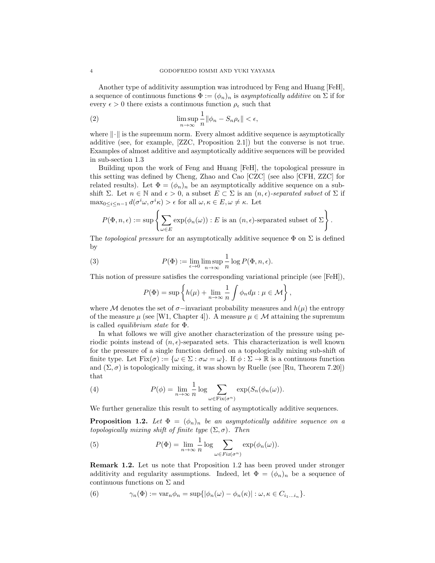Another type of additivity assumption was introduced by Feng and Huang [FeH], a sequence of continuous functions  $\Phi := (\phi_n)_n$  is *asymptotically additive* on  $\Sigma$  if for every  $\epsilon > 0$  there exists a continuous function  $\rho_{\epsilon}$  such that

(2) 
$$
\limsup_{n \to \infty} \frac{1}{n} ||\phi_n - S_n \rho_{\epsilon}|| < \epsilon,
$$

where  $\|\cdot\|$  is the supremum norm. Every almost additive sequence is asymptotically additive (see, for example, [ZZC, Proposition 2.1]) but the converse is not true. Examples of almost additive and asymptotically additive sequences will be provided in sub-section 1.3

Building upon the work of Feng and Huang [FeH], the topological pressure in this setting was defined by Cheng, Zhao and Cao [CZC] (see also [CFH, ZZC] for related results). Let  $\Phi = (\phi_n)_n$  be an asymptotically additive sequence on a subshift  $\Sigma$ . Let  $n \in \mathbb{N}$  and  $\epsilon > 0$ , a subset  $E \subset \Sigma$  is an  $(n, \epsilon)$ *-separated subset* of  $\Sigma$  if  $\max_{0 \leq i \leq n-1} d(\sigma^i \omega, \sigma^i \kappa) > \epsilon \text{ for all } \omega, \kappa \in E, \omega \neq \kappa.$  Let

$$
P(\Phi, n, \epsilon) := \sup \left\{ \sum_{\omega \in E} \exp(\phi_n(\omega)) : E \text{ is an } (n, \epsilon) \text{-separated subset of } \Sigma \right\}.
$$

The *topological pressure* for an asymptotically additive sequence  $\Phi$  on  $\Sigma$  is defined by

(3) 
$$
P(\Phi) := \lim_{\epsilon \to 0} \limsup_{n \to \infty} \frac{1}{n} \log P(\Phi, n, \epsilon).
$$

This notion of pressure satisfies the corresponding variational principle (see [FeH]),

$$
P(\Phi) = \sup \left\{ h(\mu) + \lim_{n \to \infty} \frac{1}{n} \int \phi_n d\mu : \mu \in \mathcal{M} \right\},\
$$

where M denotes the set of  $\sigma$ −invariant probability measures and  $h(\mu)$  the entropy of the measure  $\mu$  (see [W1, Chapter 4]). A measure  $\mu \in \mathcal{M}$  attaining the supremum is called *equilibrium state* for Φ.

In what follows we will give another characterization of the pressure using periodic points instead of  $(n, \epsilon)$ -separated sets. This characterization is well known for the pressure of a single function defined on a topologically mixing sub-shift of finite type. Let  $Fix(\sigma) := {\omega \in \Sigma : \sigma\omega = \omega}$ . If  $\phi : \Sigma \to \mathbb{R}$  is a continuous function and  $(\Sigma, \sigma)$  is topologically mixing, it was shown by Ruelle (see [Ru, Theorem 7.20]) that

(4) 
$$
P(\phi) = \lim_{n \to \infty} \frac{1}{n} \log \sum_{\omega \in \text{Fix}(\sigma^n)} \exp(S_n(\phi_n(\omega)).
$$

We further generalize this result to setting of asymptotically additive sequences.

**Proposition 1.2.** Let  $\Phi = (\phi_n)_n$  be an asymptotically additive sequence on a *topologically mixing shift of finite type*  $(\Sigma, \sigma)$ *. Then* 

(5) 
$$
P(\Phi) = \lim_{n \to \infty} \frac{1}{n} \log \sum_{\omega \in Fix(\sigma^n)} \exp(\phi_n(\omega)).
$$

Remark 1.2. Let us note that Proposition 1.2 has been proved under stronger additivity and regularity assumptions. Indeed, let  $\Phi = (\phi_n)_n$  be a sequence of continuous functions on Σ and

(6) 
$$
\gamma_n(\Phi) := \text{var}_n \phi_n = \text{sup}\{|\phi_n(\omega) - \phi_n(\kappa)| : \omega, \kappa \in C_{i_1...i_n}\}.
$$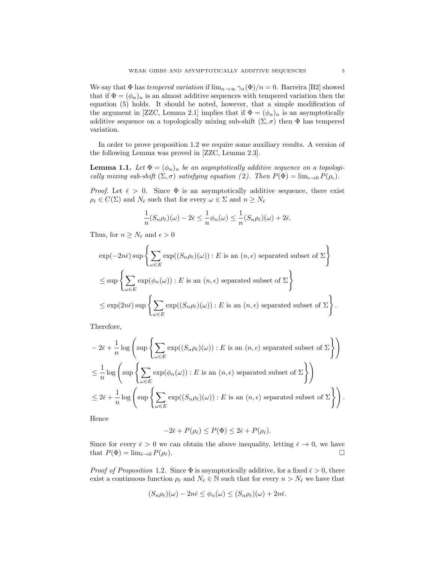We say that  $\Phi$  has *tempered variation* if  $\lim_{n\to\infty} \gamma_n(\Phi)/n = 0$ . Barreira [B2] showed that if  $\Phi = (\phi_n)_n$  is an almost additive sequences with tempered variation then the equation (5) holds. It should be noted, however, that a simple modification of the argument in [ZZC, Lemma 2.1] implies that if  $\Phi = (\phi_n)_n$  is an asymptotically additive sequence on a topologically mixing sub-shift  $(\Sigma, \sigma)$  then  $\Phi$  has tempered variation.

In order to prove proposition 1.2 we require some auxiliary results. A version of the following Lemma was proved in [ZZC, Lemma 2.3].

**Lemma 1.1.** Let  $\Phi = (\phi_n)_n$  be an asymptotically additive sequence on a topologi*cally mixing sub-shift*  $(\Sigma, \sigma)$  *satisfying equation (2). Then*  $P(\Phi) = \lim_{\epsilon \to 0} P(\rho_{\epsilon})$ *.* 

*Proof.* Let  $\bar{\epsilon} > 0$ . Since  $\Phi$  is an asymptotically additive sequence, there exist  $\rho_{\bar{\epsilon}} \in C(\Sigma)$  and  $N_{\bar{\epsilon}}$  such that for every  $\omega \in \Sigma$  and  $n \geq N_{\bar{\epsilon}}$ 

$$
\frac{1}{n}(S_n\rho_{\bar{\epsilon}})(\omega) - 2\bar{\epsilon} \le \frac{1}{n}\phi_n(\omega) \le \frac{1}{n}(S_n\rho_{\bar{\epsilon}})(\omega) + 2\bar{\epsilon}.
$$

Thus, for  $n \geq N_{\bar{\epsilon}}$  and  $\epsilon > 0$ 

$$
\exp(-2n\bar{\epsilon})\sup\left\{\sum_{\omega\in E}\exp((S_n\rho_{\bar{\epsilon}})(\omega)) : E \text{ is an } (n,\epsilon) \text{ separated subset of } \Sigma\right\}
$$
  

$$
\leq \sup\left\{\sum_{\omega\in E}\exp(\phi_n(\omega)) : E \text{ is an } (n,\epsilon) \text{ separated subset of } \Sigma\right\}
$$
  

$$
\leq \exp(2n\bar{\epsilon})\sup\left\{\sum_{\omega\in E}\exp((S_n\rho_{\bar{\epsilon}})(\omega)) : E \text{ is an } (n,\epsilon) \text{ separated subset of } \Sigma\right\}.
$$

Therefore,

$$
-2\bar{\epsilon} + \frac{1}{n}\log\left(\sup\left\{\sum_{\omega \in E} \exp((S_n \rho_{\bar{\epsilon}})(\omega)) : E \text{ is an } (n, \epsilon) \text{ separated subset of } \Sigma\right\}\right)
$$
  

$$
\leq \frac{1}{n}\log\left(\sup\left\{\sum_{\omega \in E} \exp(\phi_n(\omega)) : E \text{ is an } (n, \epsilon) \text{ separated subset of } \Sigma\right\}\right)
$$
  

$$
\leq 2\bar{\epsilon} + \frac{1}{n}\log\left(\sup\left\{\sum_{\omega \in E} \exp((S_n \rho_{\bar{\epsilon}})(\omega)) : E \text{ is an } (n, \epsilon) \text{ separated subset of } \Sigma\right\}\right)
$$

Hence

$$
-2\bar{\epsilon} + P(\rho_{\bar{\epsilon}}) \le P(\Phi) \le 2\bar{\epsilon} + P(\rho_{\bar{\epsilon}}).
$$

Since for every  $\bar{\epsilon} > 0$  we can obtain the above inequality, letting  $\bar{\epsilon} \to 0$ , we have that  $P(\Phi) = \lim_{\bar{\epsilon} \to 0} P(\rho_{\bar{\epsilon}})$ . that  $P(\Phi) = \lim_{\bar{\epsilon} \to 0} P(\rho_{\bar{\epsilon}})$ .

*Proof of Proposition* 1.2. Since  $\Phi$  is asymptotically additive, for a fixed  $\bar{\epsilon} > 0$ , there exist a continuous function  $\rho_{\bar{\epsilon}}$  and  $N_{\bar{\epsilon}} \in \mathbb{N}$  such that for every  $n > N_{\bar{\epsilon}}$  we have that

$$
(S_n \rho_{\bar{\epsilon}})(\omega) - 2n\bar{\epsilon} \le \phi_n(\omega) \le (S_n \rho_{\bar{\epsilon}})(\omega) + 2n\bar{\epsilon}.
$$

.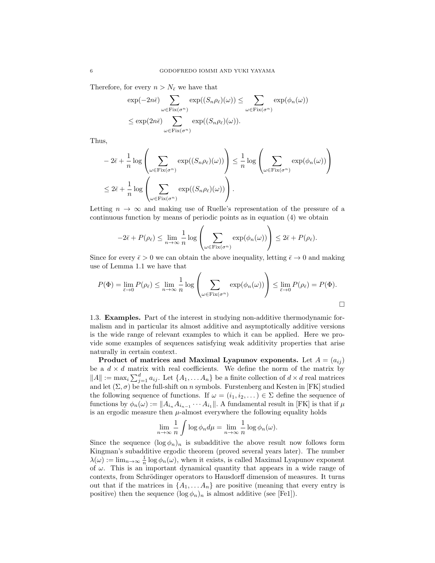Therefore, for every  $n > N_{\bar{\epsilon}}$  we have that

$$
\exp(-2n\bar{\epsilon}) \sum_{\omega \in \text{Fix}(\sigma^n)} \exp((S_n \rho_{\bar{\epsilon}})(\omega)) \leq \sum_{\omega \in \text{Fix}(\sigma^n)} \exp(\phi_n(\omega))
$$
  

$$
\leq \exp(2n\bar{\epsilon}) \sum_{\omega \in \text{Fix}(\sigma^n)} \exp((S_n \rho_{\bar{\epsilon}})(\omega)).
$$

Thus,

$$
-2\overline{\epsilon} + \frac{1}{n}\log\left(\sum_{\omega \in \text{Fix}(\sigma^n)} \exp((S_n \rho_{\overline{\epsilon}})(\omega))\right) \le \frac{1}{n}\log\left(\sum_{\omega \in \text{Fix}(\sigma^n)} \exp(\phi_n(\omega))\right)
$$
  

$$
\le 2\overline{\epsilon} + \frac{1}{n}\log\left(\sum_{\omega \in \text{Fix}(\sigma^n)} \exp((S_n \rho_{\overline{\epsilon}})(\omega))\right).
$$

Letting  $n \to \infty$  and making use of Ruelle's representation of the pressure of a continuous function by means of periodic points as in equation (4) we obtain

$$
-2\overline{\epsilon} + P(\rho_{\overline{\epsilon}}) \le \lim_{n \to \infty} \frac{1}{n} \log \left( \sum_{\omega \in \text{Fix}(\sigma^n)} \exp(\phi_n(\omega)) \right) \le 2\overline{\epsilon} + P(\rho_{\overline{\epsilon}}).
$$

Since for every  $\bar{\epsilon} > 0$  we can obtain the above inequality, letting  $\bar{\epsilon} \to 0$  and making use of Lemma 1.1 we have that

$$
P(\Phi) = \lim_{\bar{\epsilon} \to 0} P(\rho_{\bar{\epsilon}}) \le \lim_{n \to \infty} \frac{1}{n} \log \left( \sum_{\omega \in \text{Fix}(\sigma^n)} \exp(\phi_n(\omega)) \right) \le \lim_{\bar{\epsilon} \to 0} P(\rho_{\bar{\epsilon}}) = P(\Phi).
$$

1.3. Examples. Part of the interest in studying non-additive thermodynamic formalism and in particular its almost additive and asymptotically additive versions is the wide range of relevant examples to which it can be applied. Here we provide some examples of sequences satisfying weak additivity properties that arise naturally in certain context.

Product of matrices and Maximal Lyapunov exponents. Let  $A = (a_{ij})$ be a  $d \times d$  matrix with real coefficients. We define the norm of the matrix by  $||A|| := \max_i \sum_{j=1}^d a_{ij}$ . Let  $\{A_1, \ldots A_n\}$  be a finite collection of  $d \times d$  real matrices and let  $(\Sigma, \sigma)$  be the full-shift on n symbols. Furstenberg and Kesten in [FK] studied the following sequence of functions. If  $\omega = (i_1, i_2, \dots) \in \Sigma$  define the sequence of functions by  $\phi_n(\omega) := ||A_{i_n} A_{i_{n-1}} \cdots A_{i_1}||$ . A fundamental result in [FK] is that if  $\mu$ is an ergodic measure then  $\mu$ -almost everywhere the following equality holds

$$
\lim_{n \to \infty} \frac{1}{n} \int \log \phi_n d\mu = \lim_{n \to \infty} \frac{1}{n} \log \phi_n(\omega).
$$

Since the sequence  $(\log \phi_n)_n$  is subadditive the above result now follows form Kingman's subadditive ergodic theorem (proved several years later). The number  $\lambda(\omega) := \lim_{n \to \infty} \frac{1}{n} \log \phi_n(\omega)$ , when it exists, is called Maximal Lyapunov exponent of  $\omega$ . This is an important dynamical quantity that appears in a wide range of contexts, from Schrödinger operators to Hausdorff dimension of measures. It turns out that if the matrices in  $\{A_1, \ldots, A_n\}$  are positive (meaning that every entry is positive) then the sequence  $(\log \phi_n)_n$  is almost additive (see [Fe1]).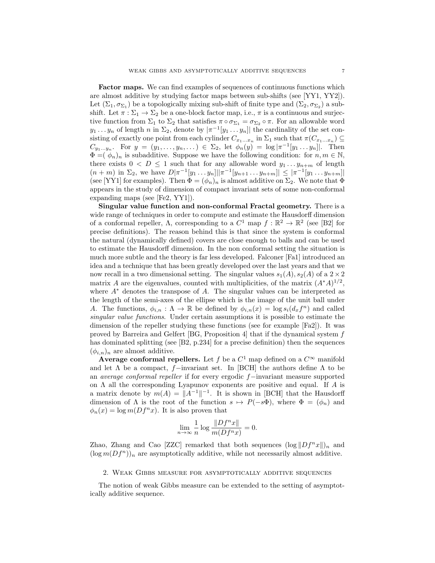Factor maps. We can find examples of sequences of continuous functions which are almost additive by studying factor maps between sub-shifts (see [YY1, YY2]). Let  $(\Sigma_1, \sigma_{\Sigma_1})$  be a topologically mixing sub-shift of finite type and  $(\Sigma_2, \sigma_{\Sigma_2})$  a subshift. Let  $\pi : \Sigma_1 \to \Sigma_2$  be a one-block factor map, i.e.,  $\pi$  is a continuous and surjective function from  $\Sigma_1$  to  $\Sigma_2$  that satisfies  $\pi \circ \sigma_{\Sigma_1} = \sigma_{\Sigma_2} \circ \pi$ . For an allowable word  $y_1 \ldots y_n$  of length n in  $\Sigma_2$ , denote by  $|\pi^{-1}[y_1 \ldots y_n]|$  the cardinality of the set consisting of exactly one point from each cylinder  $C_{x_1...x_n}$  in  $\Sigma_1$  such that  $\pi(C_{x_1...x_n}) \subseteq$  $C_{y_1...y_n}$ . For  $y = (y_1,...,y_n,...) \in \Sigma_2$ , let  $\phi_n(y) = \log |\pi^{-1}[y_1...y_n]|$ . Then  $\Phi = (\phi_n)_n$  is subadditive. Suppose we have the following condition: for  $n, m \in \mathbb{N}$ , there exists  $0 < D \leq 1$  such that for any allowable word  $y_1 \ldots y_{n+m}$  of length  $(n + m)$  in  $\Sigma_2$ , we have  $D|\pi^{-1}[y_1 \dots y_n]||\pi^{-1}[y_{n+1} \dots y_{n+m}]| \leq |\pi^{-1}[y_1 \dots y_{n+m}]|$ (see [YY1] for examples). Then  $\Phi = (\phi_n)_n$  is almost additive on  $\Sigma_2$ . We note that  $\Phi$ appears in the study of dimension of compact invariant sets of some non-conformal expanding maps (see [Fe2, YY1]).

Singular value function and non-conformal Fractal geometry. There is a wide range of techniques in order to compute and estimate the Hausdorff dimension of a conformal repeller,  $\Lambda$ , corresponding to a  $C^1$  map  $f : \mathbb{R}^2 \to \mathbb{R}^2$  (see [B2] for precise definitions). The reason behind this is that since the system is conformal the natural (dynamically defined) covers are close enough to balls and can be used to estimate the Hausdorff dimension. In the non conformal setting the situation is much more subtle and the theory is far less developed. Falconer [Fa1] introduced an idea and a technique that has been greatly developed over the last years and that we now recall in a two dimensional setting. The singular values  $s_1(A), s_2(A)$  of a  $2 \times 2$ matrix A are the eigenvalues, counted with multiplicities, of the matrix  $(A^*A)^{1/2}$ , where  $A^*$  denotes the transpose of A. The singular values can be interpreted as the length of the semi-axes of the ellipse which is the image of the unit ball under A. The functions,  $\phi_{i,n} : \Lambda \to \mathbb{R}$  be defined by  $\phi_{i,n}(x) = \log s_i(d_x f^n)$  and called *singular value functions*. Under certain assumptions it is possible to estimate the dimension of the repeller studying these functions (see for example [Fa2]). It was proved by Barreira and Gelfert [BG, Proposition 4] that if the dynamical system f has dominated splitting (see [B2, p.234] for a precise definition) then the sequences  $(\phi_{i,n})_n$  are almost additive.

Average conformal repellers. Let f be a  $C^1$  map defined on a  $C^{\infty}$  manifold and let  $\Lambda$  be a compact, f–invariant set. In [BCH] the authors define  $\Lambda$  to be an *average conformal repeller* if for every ergodic f−invariant measure supported on  $\Lambda$  all the corresponding Lyapunov exponents are positive and equal. If A is a matrix denote by  $m(A) = ||A^{-1}||^{-1}$ . It is shown in [BCH] that the Hausdorff dimension of  $\Lambda$  is the root of the function  $s \mapsto P(-s\Phi)$ , where  $\Phi = (\phi_n)$  and  $\phi_n(x) = \log m(Df^n x)$ . It is also proven that

$$
\lim_{n \to \infty} \frac{1}{n} \log \frac{\|Df^n x\|}{m(Df^n x)} = 0.
$$

Zhao, Zhang and Cao [ZZC] remarked that both sequences  $(\log ||Df^n x||)_n$  and  $(\log m(Df^n))_n$  are asymptotically additive, while not necessarily almost additive.

## 2. Weak Gibbs measure for asymptotically additive sequences

The notion of weak Gibbs measure can be extended to the setting of asymptotically additive sequence.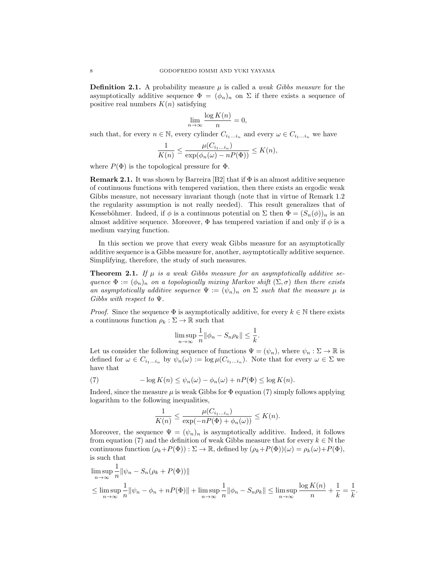**Definition 2.1.** A probability measure  $\mu$  is called a *weak Gibbs measure* for the asymptotically additive sequence  $\Phi = (\phi_n)_n$  on  $\Sigma$  if there exists a sequence of positive real numbers  $K(n)$  satisfying

$$
\lim_{n \to \infty} \frac{\log K(n)}{n} = 0,
$$

such that, for every  $n \in \mathbb{N}$ , every cylinder  $C_{i_1...i_n}$  and every  $\omega \in C_{i_1...i_n}$  we have

$$
\frac{1}{K(n)} \le \frac{\mu(C_{i_1...i_n})}{\exp(\phi_n(\omega) - nP(\Phi))} \le K(n),
$$

where  $P(\Phi)$  is the topological pressure for  $\Phi$ .

**Remark 2.1.** It was shown by Barreira [B2] that if  $\Phi$  is an almost additive sequence of continuous functions with tempered variation, then there exists an ergodic weak Gibbs measure, not necessary invariant though (note that in virtue of Remark 1.2 the regularity assumption is not really needed). This result generalizes that of Kesseböhmer. Indeed, if  $\phi$  is a continuous potential on  $\Sigma$  then  $\Phi = (S_n(\phi))_n$  is an almost additive sequence. Moreover,  $\Phi$  has tempered variation if and only if  $\phi$  is a medium varying function.

In this section we prove that every weak Gibbs measure for an asymptotically additive sequence is a Gibbs measure for, another, asymptotically additive sequence. Simplifying, therefore, the study of such measures.

**Theorem 2.1.** If  $\mu$  is a weak Gibbs measure for an asymptotically additive se*quence*  $\Phi := (\phi_n)_n$  *on a topologically mixing Markov shift*  $(\Sigma, \sigma)$  *then there exists an asymptotically additive sequence*  $\Psi := (\psi_n)_n$  *on*  $\Sigma$  *such that the measure*  $\mu$  *is Gibbs with respect to* Ψ*.*

*Proof.* Since the sequence  $\Phi$  is asymptotically additive, for every  $k \in \mathbb{N}$  there exists a continuous function  $\rho_k : \Sigma \to \mathbb{R}$  such that

$$
\limsup_{n \to \infty} \frac{1}{n} ||\phi_n - S_n \rho_k|| \le \frac{1}{k}.
$$

Let us consider the following sequence of functions  $\Psi = (\psi_n)$ , where  $\psi_n : \Sigma \to \mathbb{R}$  is defined for  $\omega \in C_{i_1...i_n}$  by  $\psi_n(\omega) := \log \mu(C_{i_1...i_n})$ . Note that for every  $\omega \in \Sigma$  we have that

(7) 
$$
-\log K(n) \leq \psi_n(\omega) - \phi_n(\omega) + nP(\Phi) \leq \log K(n).
$$

Indeed, since the measure  $\mu$  is weak Gibbs for  $\Phi$  equation (7) simply follows applying logarithm to the following inequalities,

$$
\frac{1}{K(n)} \le \frac{\mu(C_{i_1...i_n})}{\exp(-nP(\Phi) + \phi_n(\omega))} \le K(n).
$$

Moreover, the sequence  $\Psi = (\psi_n)_n$  is asymptotically additive. Indeed, it follows from equation (7) and the definition of weak Gibbs measure that for every  $k \in \mathbb{N}$  the continuous function  $(\rho_k+P(\Phi)) : \Sigma \to \mathbb{R}$ , defined by  $(\rho_k+P(\Phi))(\omega) = \rho_k(\omega)+P(\Phi)$ , is such that

$$
\limsup_{n \to \infty} \frac{1}{n} ||\psi_n - S_n(\rho_k + P(\Phi))||
$$
  
\n
$$
\leq \limsup_{n \to \infty} \frac{1}{n} ||\psi_n - \phi_n + n(P(\Phi))|| + \limsup_{n \to \infty} \frac{1}{n} ||\phi_n - S_n \rho_k|| \leq \limsup_{n \to \infty} \frac{\log K(n)}{n} + \frac{1}{k} = \frac{1}{k}
$$

.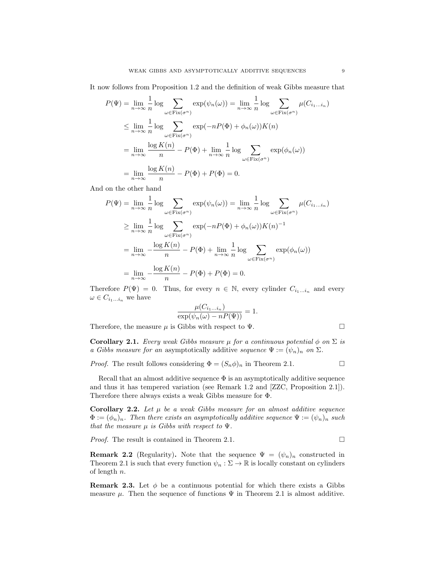It now follows from Proposition 1.2 and the definition of weak Gibbs measure that

$$
P(\Psi) = \lim_{n \to \infty} \frac{1}{n} \log \sum_{\omega \in \text{Fix}(\sigma^n)} \exp(\psi_n(\omega)) = \lim_{n \to \infty} \frac{1}{n} \log \sum_{\omega \in \text{Fix}(\sigma^n)} \mu(C_{i_1...i_n})
$$
  
\n
$$
\leq \lim_{n \to \infty} \frac{1}{n} \log \sum_{\omega \in \text{Fix}(\sigma^n)} \exp(-nP(\Phi) + \phi_n(\omega))K(n)
$$
  
\n
$$
= \lim_{n \to \infty} \frac{\log K(n)}{n} - P(\Phi) + \lim_{n \to \infty} \frac{1}{n} \log \sum_{\omega \in \text{Fix}(\sigma^n)} \exp(\phi_n(\omega))
$$
  
\n
$$
= \lim_{n \to \infty} \frac{\log K(n)}{n} - P(\Phi) + P(\Phi) = 0.
$$

And on the other hand

$$
P(\Psi) = \lim_{n \to \infty} \frac{1}{n} \log \sum_{\omega \in \text{Fix}(\sigma^n)} \exp(\psi_n(\omega)) = \lim_{n \to \infty} \frac{1}{n} \log \sum_{\omega \in \text{Fix}(\sigma^n)} \mu(C_{i_1...i_n})
$$
  
\n
$$
\geq \lim_{n \to \infty} \frac{1}{n} \log \sum_{\omega \in \text{Fix}(\sigma^n)} \exp(-nP(\Phi) + \phi_n(\omega))K(n)^{-1}
$$
  
\n
$$
= \lim_{n \to \infty} -\frac{\log K(n)}{n} - P(\Phi) + \lim_{n \to \infty} \frac{1}{n} \log \sum_{\omega \in \text{Fix}(\sigma^n)} \exp(\phi_n(\omega))
$$
  
\n
$$
= \lim_{n \to \infty} -\frac{\log K(n)}{n} - P(\Phi) + P(\Phi) = 0.
$$

Therefore  $P(\Psi) = 0$ . Thus, for every  $n \in \mathbb{N}$ , every cylinder  $C_{i_1...i_n}$  and every  $\omega \in C_{i_1...i_n}$  we have

$$
\frac{\mu(C_{i_1...i_n})}{\exp(\psi_n(\omega) - nP(\Psi))} = 1.
$$

Therefore, the measure  $\mu$  is Gibbs with respect to  $\Psi$ .

$$
\mathcal{L}_{\mathcal{A}}\subseteq\mathcal{L}_{\mathcal{A}}
$$

**Corollary 2.1.** *Every weak Gibbs measure*  $\mu$  *for a continuous potential*  $\phi$  *on*  $\Sigma$  *is a Gibbs measure for an asymptotically additive <i>sequence*  $\Psi := (\psi_n)_n$  *on*  $\Sigma$ *.* 

*Proof.* The result follows considering  $\Phi = (S_n \phi)_n$  in Theorem 2.1.

Recall that an almost additive sequence  $\Phi$  is an asymptotically additive sequence and thus it has tempered variation (see Remark 1.2 and [ZZC, Proposition 2.1]). Therefore there always exists a weak Gibbs measure for Φ.

**Corollary 2.2.** Let  $\mu$  be a weak Gibbs measure for an almost additive sequence  $\Phi := (\phi_n)_n$ . Then there exists an asymptotically additive sequence  $\Psi := (\psi_n)_n$  such *that the measure*  $\mu$  *is Gibbs with respect to*  $\Psi$ *.* 

*Proof.* The result is contained in Theorem 2.1.  $\Box$ 

**Remark 2.2** (Regularity). Note that the sequence  $\Psi = (\psi_n)_n$  constructed in Theorem 2.1 is such that every function  $\psi_n : \Sigma \to \mathbb{R}$  is locally constant on cylinders of length n.

**Remark 2.3.** Let  $\phi$  be a continuous potential for which there exists a Gibbs measure  $\mu$ . Then the sequence of functions  $\Psi$  in Theorem 2.1 is almost additive.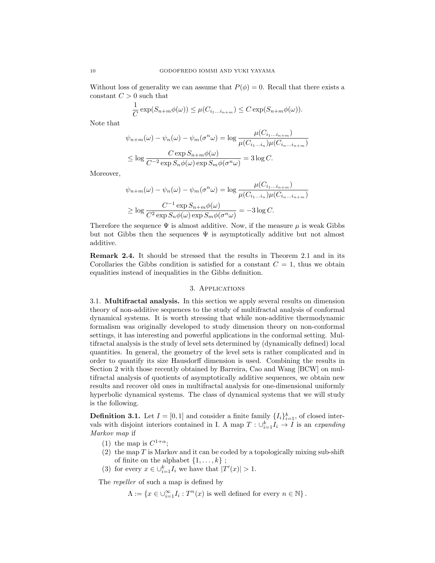Without loss of generality we can assume that  $P(\phi) = 0$ . Recall that there exists a constant  $C > 0$  such that

$$
\frac{1}{C}\exp(S_{n+m}\phi(\omega)) \leq \mu(C_{i_1...i_{n+m}}) \leq C\exp(S_{n+m}\phi(\omega)).
$$

Note that

$$
\psi_{n+m}(\omega) - \psi_n(\omega) - \psi_m(\sigma^n \omega) = \log \frac{\mu(C_{i_1...i_{n+m}})}{\mu(C_{i_1...i_n})\mu(C_{i_n...i_{n+m}})}
$$
  

$$
\leq \log \frac{C \exp S_{n+m}\phi(\omega)}{C^{-2} \exp S_n \phi(\omega) \exp S_m \phi(\sigma^n \omega)} = 3 \log C.
$$

Moreover,

$$
\psi_{n+m}(\omega) - \psi_n(\omega) - \psi_m(\sigma^n \omega) = \log \frac{\mu(C_{i_1...i_{n+m}})}{\mu(C_{i_1...i_n})\mu(C_{i_n...i_{n+m}})}
$$
  

$$
\geq \log \frac{C^{-1} \exp S_{n+m}\phi(\omega)}{C^2 \exp S_n \phi(\omega) \exp S_m \phi(\sigma^n \omega)} = -3 \log C.
$$

Therefore the sequence  $\Psi$  is almost additive. Now, if the measure  $\mu$  is weak Gibbs but not Gibbs then the sequences  $\Psi$  is asymptotically additive but not almost additive.

Remark 2.4. It should be stressed that the results in Theorem 2.1 and in its Corollaries the Gibbs condition is satisfied for a constant  $C = 1$ , thus we obtain equalities instead of inequalities in the Gibbs definition.

#### 3. Applications

3.1. Multifractal analysis. In this section we apply several results on dimension theory of non-additive sequences to the study of multifractal analysis of conformal dynamical systems. It is worth stressing that while non-additive thermodynamic formalism was originally developed to study dimension theory on non-conformal settings, it has interesting and powerful applications in the conformal setting. Multifractal analysis is the study of level sets determined by (dynamically defined) local quantities. In general, the geometry of the level sets is rather complicated and in order to quantify its size Hausdorff dimension is used. Combining the results in Section 2 with those recently obtained by Barreira, Cao and Wang [BCW] on multifractal analysis of quotients of asymptotically additive sequences, we obtain new results and recover old ones in multifractal analysis for one-dimensional uniformly hyperbolic dynamical systems. The class of dynamical systems that we will study is the following.

**Definition 3.1.** Let  $I = [0, 1]$  and consider a finite family  $\{I_i\}_{i=1}^k$ , of closed intervals with disjoint interiors contained in I. A map  $T: \bigcup_{i=1}^{k} I_i \to I$  is an *expanding Markov map* if

- (1) the map is  $C^{1+\alpha}$ :
- (2) the map  $T$  is Markov and it can be coded by a topologically mixing sub-shift of finite on the alphabet  $\{1, \ldots, k\}$ ;
- (3) for every  $x \in \bigcup_{i=1}^{k} I_i$  we have that  $|T'(x)| > 1$ .

The *repeller* of such a map is defined by

 $\Lambda := \{x \in \bigcup_{i=1}^{\infty} I_i : T^n(x)$  is well defined for every  $n \in \mathbb{N}\}$ .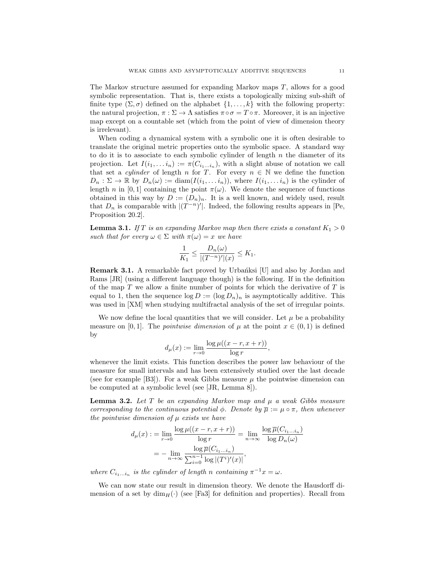The Markov structure assumed for expanding Markov maps T, allows for a good symbolic representation. That is, there exists a topologically mixing sub-shift of finite type  $(\Sigma, \sigma)$  defined on the alphabet  $\{1, \ldots, k\}$  with the following property: the natural projection,  $\pi : \Sigma \to \Lambda$  satisfies  $\pi \circ \sigma = T \circ \pi$ . Moreover, it is an injective map except on a countable set (which from the point of view of dimension theory is irrelevant).

When coding a dynamical system with a symbolic one it is often desirable to translate the original metric properties onto the symbolic space. A standard way to do it is to associate to each symbolic cylinder of length  $n$  the diameter of its projection. Let  $I(i_1, \ldots i_n) := \pi(C_{i_1 \ldots i_n})$ , with a slight abuse of notation we call that set a *cylinder* of length n for T. For every  $n \in \mathbb{N}$  we define the function  $D_n : \Sigma \to \mathbb{R}$  by  $D_n(\omega) := \text{diam}(I(i_1, \ldots i_n)),$  where  $I(i_1, \ldots i_n)$  is the cylinder of length n in [0, 1] containing the point  $\pi(\omega)$ . We denote the sequence of functions obtained in this way by  $D := (D_n)_n$ . It is a well known, and widely used, result that  $D_n$  is comparable with  $|(T^{-n})'|$ . Indeed, the following results appears in [Pe, Proposition 20.2].

**Lemma 3.1.** *If* T *is an expanding Markov map then there exists a constant*  $K_1 > 0$ *such that for every*  $\omega \in \Sigma$  *with*  $\pi(\omega) = x$  *we have* 

$$
\frac{1}{K_1} \le \frac{D_n(\omega)}{|(T^{-n})'|(x)} \le K_1.
$$

**Remark 3.1.** A remarkable fact proved by Urbanksi [U] and also by Jordan and Rams [JR] (using a different language though) is the following. If in the definition of the map  $T$  we allow a finite number of points for which the derivative of  $T$  is equal to 1, then the sequence  $\log D := (\log D_n)_n$  is asymptotically additive. This was used in [XM] when studying multifractal analysis of the set of irregular points.

We now define the local quantities that we will consider. Let  $\mu$  be a probability measure on [0, 1]. The *pointwise dimension* of  $\mu$  at the point  $x \in (0, 1)$  is defined by

$$
d_{\mu}(x) := \lim_{r \to 0} \frac{\log \mu((x-r, x+r))}{\log r},
$$

whenever the limit exists. This function describes the power law behaviour of the measure for small intervals and has been extensively studied over the last decade (see for example [B3]). For a weak Gibbs measure  $\mu$  the pointwise dimension can be computed at a symbolic level (see [JR, Lemma 8]).

Lemma 3.2. *Let* T *be an expanding Markov map and* µ *a weak Gibbs measure corresponding to the continuous potential*  $\phi$ *. Denote by*  $\overline{\mu} := \mu \circ \pi$ *, then whenever the pointwise dimension of* µ *exists we have*

$$
d_{\mu}(x) := \lim_{r \to 0} \frac{\log \mu((x - r, x + r))}{\log r} = \lim_{n \to \infty} \frac{\log \overline{\mu}(C_{i_1 \dots i_n})}{\log D_n(\omega)}
$$

$$
= -\lim_{n \to \infty} \frac{\log \overline{\mu}(C_{i_1 \dots i_n})}{\sum_{i=0}^{n-1} \log |(T^i)'(x)|},
$$

*where*  $C_{i_1...i_n}$  *is the cylinder of length n containing*  $\pi^{-1}x = \omega$ *.* 

We can now state our result in dimension theory. We denote the Hausdorff dimension of a set by  $\dim_H(\cdot)$  (see [Fa3] for definition and properties). Recall from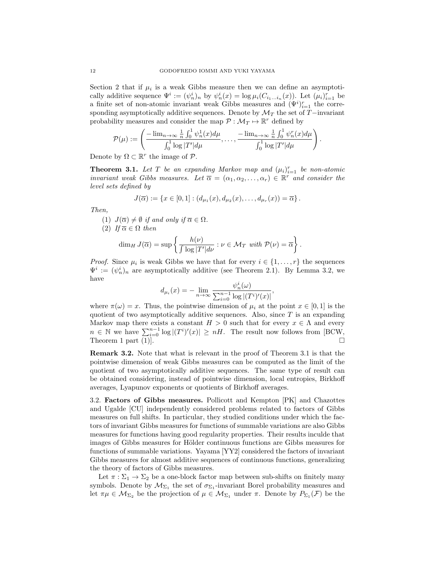Section 2 that if  $\mu_i$  is a weak Gibbs measure then we can define an asymptotically additive sequence  $\Psi^i := (\psi_n^i)_n$  by  $\psi_n^i(x) = \log \mu_i(C_{i_1...i_n}(x))$ . Let  $(\mu_i)_{i=1}^r$  be a finite set of non-atomic invariant weak Gibbs measures and  $(\Psi^i)_{i=1}^r$  the corresponding asymptotically additive sequences. Denote by  $\mathcal{M}_T$  the set of T−invariant probability measures and consider the map  $\mathcal{P} : \mathcal{M}_T \mapsto \mathbb{R}^r$  defined by

$$
\mathcal{P}(\mu) := \left( \frac{-\lim_{n \to \infty} \frac{1}{n} \int_0^1 \psi_n^1(x) d\mu}{\int_0^1 \log |T'| d\mu}, \dots, \frac{-\lim_{n \to \infty} \frac{1}{n} \int_0^1 \psi_n^r(x) d\mu}{\int_0^1 \log |T'| d\mu} \right)
$$

.

Denote by  $\Omega \subset \mathbb{R}^r$  the image of  $\mathcal{P}$ .

**Theorem 3.1.** Let  $T$  be an expanding Markov map and  $(\mu_i)_{i=1}^r$  be non-atomic *invariant weak Gibbs measures. Let*  $\overline{\alpha} = (\alpha_1, \alpha_2, \dots, \alpha_r) \in \mathbb{R}^r$  *and consider the level sets defined by*

$$
J(\overline{\alpha}) := \{ x \in [0,1] : (d_{\mu_1}(x), d_{\mu_2}(x), \dots, d_{\mu_r}(x)) = \overline{\alpha} \}.
$$

*Then,*

(1) 
$$
J(\overline{\alpha}) \neq \emptyset
$$
 if and only if  $\overline{\alpha} \in \Omega$ .

 $(2)$  *If*  $\overline{\alpha} \in \Omega$  *then* 

$$
\dim_H J(\overline{\alpha}) = \sup \left\{ \frac{h(\nu)}{\int \log |T'| d\nu} : \nu \in \mathcal{M}_T \text{ with } \mathcal{P}(\nu) = \overline{\alpha} \right\}.
$$

*Proof.* Since  $\mu_i$  is weak Gibbs we have that for every  $i \in \{1, \ldots, r\}$  the sequences  $\Psi^i := (\psi_n^i)_n$  are asymptotically additive (see Theorem 2.1). By Lemma 3.2, we have

$$
d_{\mu_i}(x) = - \lim_{n \to \infty} \frac{\psi_n^i(\omega)}{\sum_{i=0}^{n-1} \log |(T^i)'(x)|},
$$

where  $\pi(\omega) = x$ . Thus, the pointwise dimension of  $\mu_i$  at the point  $x \in [0,1]$  is the quotient of two asymptotically additive sequences. Also, since  $T$  is an expanding Markov map there exists a constant  $H > 0$  such that for every  $x \in \Lambda$  and every  $n \in \mathbb{N}$  we have  $\sum_{i=0}^{n-1} \log |(T^i)'(x)| \geq nH$ . The result now follows from [BCW, Theorem 1 part (1).

Remark 3.2. Note that what is relevant in the proof of Theorem 3.1 is that the pointwise dimension of weak Gibbs measures can be computed as the limit of the quotient of two asymptotically additive sequences. The same type of result can be obtained considering, instead of pointwise dimension, local entropies, Birkhoff averages, Lyapunov exponents or quotients of Birkhoff averages.

3.2. Factors of Gibbs measures. Pollicott and Kempton [PK] and Chazottes and Ugalde [CU] independently considered problems related to factors of Gibbs measures on full shifts. In particular, they studied conditions under which the factors of invariant Gibbs measures for functions of summable variations are also Gibbs measures for functions having good regularity properties. Their results inculde that images of Gibbs measures for Hölder continuous functions are Gibbs measures for functions of summable variations. Yayama [YY2] considered the factors of invariant Gibbs measures for almost additive sequences of continuous functions, generalizing the theory of factors of Gibbs measures.

Let  $\pi : \Sigma_1 \to \Sigma_2$  be a one-block factor map between sub-shifts on finitely many symbols. Denote by  $\mathcal{M}_{\Sigma_1}$  the set of  $\sigma_{\Sigma_1}$ -invariant Borel probability measures and let  $\pi\mu \in \mathcal{M}_{\Sigma_2}$  be the projection of  $\mu \in \mathcal{M}_{\Sigma_1}$  under  $\pi$ . Denote by  $P_{\Sigma_1}(\mathcal{F})$  be the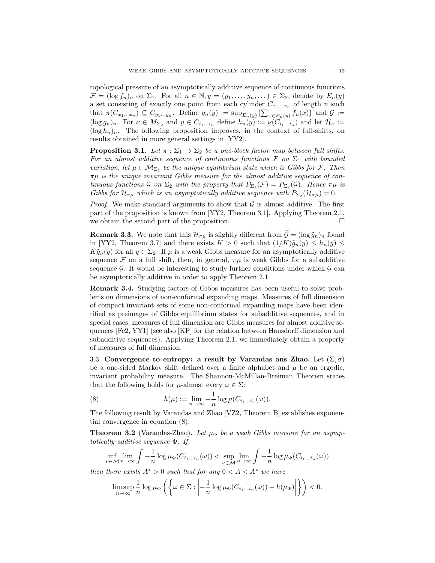topological pressure of an asymptotically additive sequence of continuous functions  $\mathcal{F} = (\log f_n)_n$  on  $\Sigma_1$ . For all  $n \in \mathbb{N}, y = (y_1, \ldots, y_n, \ldots) \in \Sigma_2$ , denote by  $E_n(y)$ a set consisting of exactly one point from each cylinder  $C_{x_1...x_n}$  of length n such that  $\pi(C_{x_1...x_n}) \subseteq C_{y_1...y_n}$ . Define  $g_n(y) := \sup_{E_n(y)} \{\sum_{x \in E_n(y)} f_n(x)\}\$  and  $\mathcal{G} :=$  $(\log g_n)_n$ . For  $\nu \in M_{\Sigma_2}$  and  $y \in C_{i_1...i_n}$  define  $h_n(y) := \nu(C_{i_1...i_n})$  and let  $\mathcal{H}_{\nu} :=$  $(\log h_n)_n$ . The following proposition improves, in the context of full-shifts, on results obtained in more general settings in [YY2].

**Proposition 3.1.** Let  $\pi : \Sigma_1 \to \Sigma_2$  be a one-block factor map between full shifts. *For an almost additive sequence of continuous functions*  $\mathcal F$  *on*  $\Sigma_1$  *with bounded variation, let*  $\mu \in M_{\Sigma_1}$  *be the unique equilibrium state which is Gibbs for* F. Then πµ *is the unique invariant Gibbs measure for the almost additive sequence of continuous functions* G *on*  $\Sigma_2$  *with the property that*  $P_{\Sigma_1}(\mathcal{F}) = P_{\Sigma_2}(\mathcal{G})$ *. Hence*  $\pi\mu$  *is Gibbs for*  $\mathcal{H}_{\pi\mu}$  *which is an asymptotically additive sequence with*  $P_{\Sigma_2}(\mathcal{H}_{\pi\mu})=0$ .

*Proof.* We make standard arguments to show that  $\mathcal G$  is almost additive. The first part of the proposition is known from [YY2, Theorem 3.1]. Applying Theorem 2.1, we obtain the second part of the proposition.  $\Box$ 

**Remark 3.3.** We note that this  $\mathcal{H}_{\pi\mu}$  is slightly different from  $\widetilde{\mathcal{G}} = (\log \widetilde{g}_n)_n$  found in [YY2, Theorem 3.7] and there exists  $K > 0$  such that  $(1/K)\tilde{g}_n(y) \leq h_n(y) \leq$  $K\tilde{g}_n(y)$  for all  $y \in \Sigma_2$ . If  $\mu$  is a weak Gibbs measure for an asymptotically additive sequence  $\mathcal F$  on a full shift, then, in general,  $\pi\mu$  is weak Gibbs for a subadditive sequence  $\mathcal G$ . It would be interesting to study further conditions under which  $\mathcal G$  can be asymptotically additive in order to apply Theorem 2.1.

Remark 3.4. Studying factors of Gibbs measures has been useful to solve problems on dimensions of non-conformal expanding maps. Measures of full dimension of compact invariant sets of some non-conformal expanding maps have been identified as preimages of Gibbs equilibrium states for subadditive sequences, and in special cases, measures of full dimension are Gibbs measures for almost additive sequences [Fe2, YY1] (see also [KP] for the relation between Hausdorff dimension and subadditive sequences). Applying Theorem 2.1, we immediately obtain a property of measures of full dimension.

3.3. Convergence to entropy: a result by Varandas ans Zhao. Let  $(\Sigma, \sigma)$ be a one-sided Markov shift defined over a finite alphabet and  $\mu$  be an ergodic, invariant probability measure. The Shannon-McMillan-Breiman Theorem states that the following holds for  $\mu$ -almost every  $\omega \in \Sigma$ :

(8) 
$$
h(\mu) := \lim_{n \to \infty} -\frac{1}{n} \log \mu(C_{i_1...i_n}(\omega)).
$$

The following result by Varandas and Zhao [VZ2, Theorem B] establishes exponential convergence in equation (8).

**Theorem 3.2** (Varandas-Zhao). Let  $\mu_{\Phi}$  be a weak Gibbs measure for an asymp*totically additive sequence* Φ*. If*

$$
\inf_{\nu \in \mathcal{M}} \lim_{n \to \infty} \int -\frac{1}{n} \log \mu_{\Phi}(C_{i_1 \dots i_n}(\omega)) < \sup_{\nu \in \mathcal{M}} \lim_{n \to \infty} \int -\frac{1}{n} \log \mu_{\Phi}(C_{i_1 \dots i_n}(\omega))
$$

*then there exists*  $A^* > 0$  *such that for any*  $0 < A < A^*$  *we have* 

$$
\limsup_{n\to\infty}\frac{1}{n}\log\mu_{\Phi}\left(\left\{\omega\in\Sigma:\left|-\frac{1}{n}\log\mu_{\Phi}(C_{i_1...i_n}(\omega))-h(\mu_{\Phi})\right|\right\}\right)<0.
$$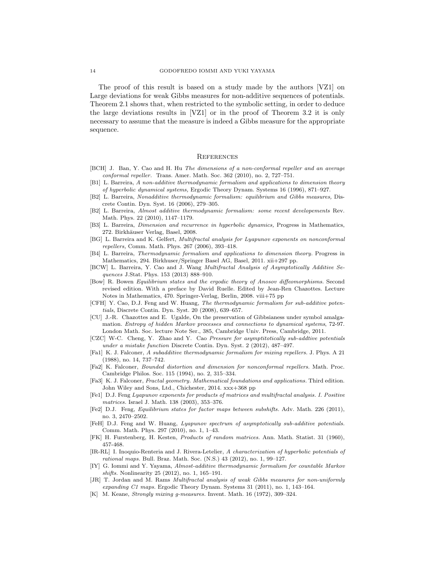The proof of this result is based on a study made by the authors [VZ1] on Large deviations for weak Gibbs measures for non-additive sequences of potentials. Theorem 2.1 shows that, when restricted to the symbolic setting, in order to deduce the large deviations results in [VZ1] or in the proof of Theorem 3.2 it is only necessary to assume that the measure is indeed a Gibbs measure for the appropriate sequence.

### **REFERENCES**

- [BCH] J. Ban, Y. Cao and H. Hu The dimensions of a non-conformal repeller and an average conformal repeller. Trans. Amer. Math. Soc. 362 (2010), no. 2, 727–751.
- [B1] L. Barreira, A non-additive thermodynamic formalism and applications to dimension theory of hyperbolic dynamical systems, Ergodic Theory Dynam. Systems 16 (1996), 871–927.
- [B2] L. Barreira, Nonadditive thermodynamic formalism: equilibrium and Gibbs measures, Discrete Contin. Dyn. Syst. 16 (2006), 279–305.
- [B2] L. Barreira, Almost additive thermodynamic formalism: some recent developements Rev. Math. Phys. 22 (2010), 1147–1179.
- [B3] L. Barreira, Dimension and recurrence in hyperbolic dynamics, Progress in Mathematics, 272. Birkhäuser Verlag, Basel, 2008.
- [BG] L. Barreira and K. Gelfert, Multifractal analysis for Lyapunov exponents on nonconformal repellers, Comm. Math. Phys. 267 (2006), 393–418.
- [B4] L. Barreira, Thermodynamic formalism and applications to dimension theory. Progress in Mathematics, 294. Birkhuser/Springer Basel AG, Basel, 2011. xii+297 pp.
- [BCW] L. Barreira, Y. Cao and J. Wang Multifractal Analysis of Asymptotically Additive Sequences J.Stat. Phys. 153 (2013) 888–910.
- [Bow] R. Bowen Equilibrium states and the ergodic theory of Anosov diffeomorphisms. Second revised edition. With a preface by David Ruelle. Edited by Jean-Ren Chazottes. Lecture Notes in Mathematics, 470. Springer-Verlag, Berlin, 2008. viii+75 pp
- [CFH] Y. Cao, D.J. Feng and W. Huang, The thermodynamic formalism for sub-additive potentials, Discrete Contin. Dyn. Syst. 20 (2008), 639–657.
- [CU] J.-R. Chazottes and E. Ugalde, On the preservation of Gibbsianess under symbol amalgamation. Entropy of hidden Markov processes and connections to dynamical systems, 72-97. London Math. Soc. lecture Note Ser., 385, Cambridge Univ. Press, Cambridge, 2011.
- [CZC] W-C. Cheng, Y. Zhao and Y. Cao Pressure for asymptitotically sub-addtive potentials under a mistake function Discrete Contin. Dyn. Syst. 2 (2012), 487–497.
- [Fa1] K. J. Falconer, A subadditive thermodynamic formalism for mixing repellers. J. Phys. A 21 (1988), no. 14, 737–742.
- [Fa2] K. Falconer, Bounded distortion and dimension for nonconformal repellers. Math. Proc. Cambridge Philos. Soc. 115 (1994), no. 2, 315–334.
- [Fa3] K. J. Falconer, Fractal geometry. Mathematical foundations and applications. Third edition. John Wiley and Sons, Ltd., Chichester, 2014. xxx+368 pp
- [Fe1] D.J. Feng Lyapunov exponents for products of matrices and multifractal analysis. I. Positive matrices. Israel J. Math. 138 (2003), 353–376.
- [Fe2] D.J. Feng, Equilibrium states for factor maps between subshifts. Adv. Math. 226 (2011), no. 3, 2470–2502.
- [FeH] D.J. Feng and W. Huang, Lyapunov spectrum of asymptotically sub-additive potentials. Comm. Math. Phys. 297 (2010), no. 1, 1–43.
- [FK] H. Furstenberg, H. Kesten, Products of random matrices. Ann. Math. Statist. 31 (1960), 457-468.
- [IR-RL] I. Inoquio-Renteria and J. Rivera-Letelier, A characterization of hyperbolic potentials of rational maps. Bull. Braz. Math. Soc. (N.S.) 43 (2012), no. 1, 99–127.
- [IY] G. Iommi and Y. Yayama, Almost-additive thermodynamic formalism for countable Markov shifts. Nonlinearity 25 (2012), no. 1, 165–191.
- [JR] T. Jordan and M. Rams Multifractal analysis of weak Gibbs measures for non-uniformly expanding C1 maps. Ergodic Theory Dynam. Systems 31 (2011), no. 1, 143–164.
- [K] M. Keane, Strongly mixing g-measures. Invent. Math. 16 (1972), 309–324.